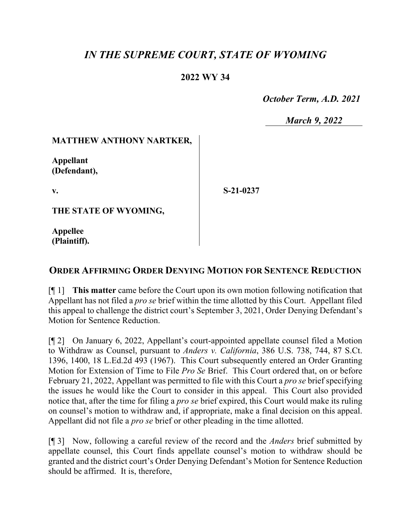# *IN THE SUPREME COURT, STATE OF WYOMING*

# **2022 WY 34**

 *October Term, A.D. 2021*

*March 9, 2022*

### **MATTHEW ANTHONY NARTKER,**

**Appellant (Defendant),**

**v.**

**S-21-0237**

**THE STATE OF WYOMING,**

**Appellee (Plaintiff).**

# **ORDER AFFIRMING ORDER DENYING MOTION FOR SENTENCE REDUCTION**

[¶ 1] **This matter** came before the Court upon its own motion following notification that Appellant has not filed a *pro se* brief within the time allotted by this Court. Appellant filed this appeal to challenge the district court's September 3, 2021, Order Denying Defendant's Motion for Sentence Reduction.

[¶ 2] On January 6, 2022, Appellant's court-appointed appellate counsel filed a Motion to Withdraw as Counsel, pursuant to *Anders v. California*, 386 U.S. 738, 744, 87 S.Ct. 1396, 1400, 18 L.Ed.2d 493 (1967). This Court subsequently entered an Order Granting Motion for Extension of Time to File *Pro Se* Brief. This Court ordered that, on or before February 21, 2022, Appellant was permitted to file with this Court a *pro se* brief specifying the issues he would like the Court to consider in this appeal. This Court also provided notice that, after the time for filing a *pro se* brief expired, this Court would make its ruling on counsel's motion to withdraw and, if appropriate, make a final decision on this appeal. Appellant did not file a *pro se* brief or other pleading in the time allotted.

[¶ 3] Now, following a careful review of the record and the *Anders* brief submitted by appellate counsel, this Court finds appellate counsel's motion to withdraw should be granted and the district court's Order Denying Defendant's Motion for Sentence Reduction should be affirmed. It is, therefore,